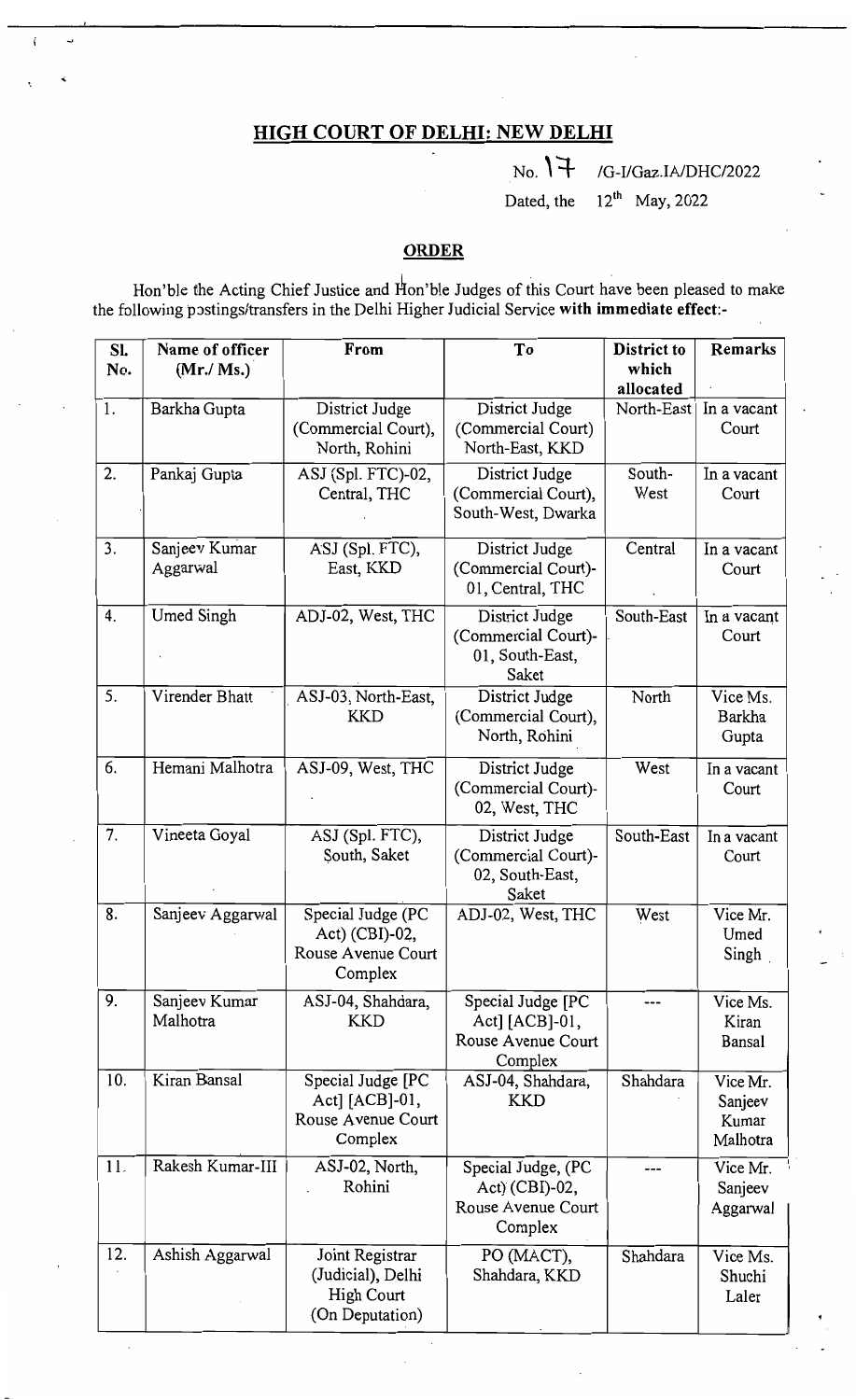## HIGH COURT OF DELHI: NEW DELHI

 $_{\text{No.}}$  \\\int\_ /G-I/Gaz.IA/DHC/2022 Dated, the  $12^{th}$  May, 2022

## **ORDER**

Hon'ble the Acting Chief Justice and Hon'ble Judges of this Court have been pleased to make the following postings/transfers in the Delhi Higher Judicial Service with immediate effect:

| SL<br>No. | Name of officer<br>(Mr./ Ms.) | From                                                                         | To                                                                      | District to<br>which<br>allocated | <b>Remarks</b>                            |
|-----------|-------------------------------|------------------------------------------------------------------------------|-------------------------------------------------------------------------|-----------------------------------|-------------------------------------------|
| 1.        | Barkha Gupta                  | District Judge<br>(Commercial Court),<br>North, Rohini                       | District Judge<br>(Commercial Court)<br>North-East, KKD                 | North-East                        | In a vacant<br>Court                      |
| 2.        | Pankaj Gupta                  | ASJ (Spl. FTC)-02,<br>Central, THC                                           | District Judge<br>(Commercial Court),<br>South-West, Dwarka             | South-<br>West                    | In a vacant<br>Court                      |
| 3.        | Sanjeev Kumar<br>Aggarwal     | ASJ (Spl. FTC),<br>East, KKD                                                 | District Judge<br>(Commercial Court)-<br>01, Central, THC               | Central                           | In a vacant<br>Court                      |
| 4.        | Umed Singh                    | ADJ-02, West, THC                                                            | District Judge<br>(Commercial Court)-<br>01, South-East,<br>Saket       | South-East                        | In a vacant<br>Court                      |
| 5.        | Virender Bhatt                | ASJ-03, North-East,<br><b>KKD</b>                                            | District Judge<br>(Commercial Court),<br>North, Rohini                  | North                             | $\overline{V}$ ice Ms.<br>Barkha<br>Gupta |
| 6.        | Hemani Malhotra               | ASJ-09, West, THC                                                            | District Judge<br>(Commercial Court)-<br>02, West, THC                  | West                              | In a vacant<br>Court                      |
| 7.        | Vineeta Goyal                 | ASJ (Spl. FTC),<br>South, Saket                                              | District Judge<br>(Commercial Court)-<br>02, South-East,<br>Saket       | South-East                        | In a vacant<br>Court                      |
| 8.        | Sanjeev Aggarwal              | Special Judge (PC<br>Act) $(CBI)-02$ ,<br>Rouse Avenue Court<br>Complex      | ADJ-02, West, THC                                                       | West                              | Vice Mr.<br>Umed<br>Singh                 |
| 9.        | Sanjeev Kumar<br>Malhotra     | ASJ-04, Shahdara,<br><b>KKD</b>                                              | Special Judge [PC<br>Act] [ACB]-01,<br>Rouse Avenue Court<br>Complex    |                                   | Vice Ms.<br>Kiran<br>Bansal               |
| 10.       | Kiran Bansal                  | Special Judge [PC<br>Act] $[ACB]-01$ ,<br>Rouse Avenue Court<br>Complex      | ASJ-04, Shahdara,<br>KKD                                                | Shahdara                          | Vice Mr.<br>Sanjeev<br>Kumar<br>Malhotra  |
| 11.       | Rakesh Kumar-III              | ASJ-02, North,<br>Rohini                                                     | Special Judge, (PC<br>$Act)$ (CBI)-02,<br>Rouse Avenue Court<br>Complex |                                   | Vice Mr.<br>Sanjeev<br>Aggarwal           |
| 12.       | Ashish Aggarwal               | Joint Registrar<br>(Judicial), Delhi<br><b>High Court</b><br>(On Deputation) | PO (MACT),<br>Shahdara, KKD                                             | Shahdara                          | Vice Ms.<br>Shuchi<br>Laler               |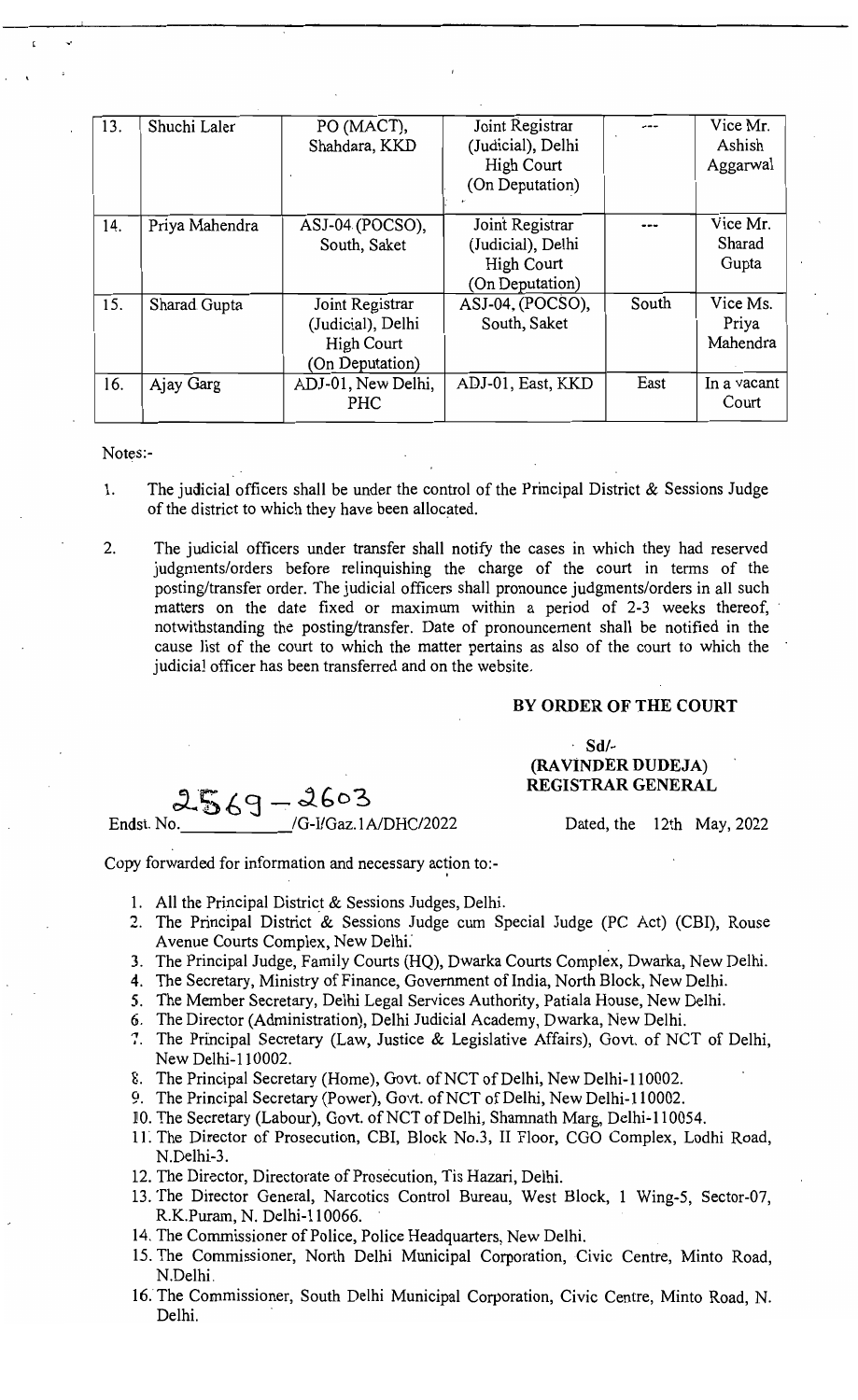| 13. | Shuchi Laler   | PO (MACT),<br>Shahdara, KKD                                                  | Joint Registrar<br>(Judicial), Delhi<br><b>High Court</b><br>(On Deputation) |       | Vice Mr.<br>Ashish<br>Aggarwal |
|-----|----------------|------------------------------------------------------------------------------|------------------------------------------------------------------------------|-------|--------------------------------|
| 14. | Priya Mahendra | ASJ-04 (POCSO),<br>South, Saket                                              | Joint Registrar<br>(Judicial), Delhi<br><b>High Court</b><br>(On Deputation) |       | Vice Mr.<br>Sharad<br>Gupta    |
| 15. | Sharad Gupta   | Joint Registrar<br>(Judicial), Delhi<br><b>High Court</b><br>(On Deputation) | $ASJ-04$ , (POCSO),<br>South, Saket                                          | South | Vice Ms.<br>Priya<br>Mahendra  |
| 16. | Ajay Garg      | ADJ-01, New Delhi,<br><b>PHC</b>                                             | ADJ-01, East, KKD                                                            | East  | In a vacant<br>Court           |

## Notes:-

"

- 1. The judicial officers shall be under the control of the Principal District  $&$  Sessions Judge of the district to which they have been allocated.
- 2. The judicial officers under transfer shall notify the cases in which they had reserved judgments/orders before relinquishing the charge of the court in terms of the posting/transfer order. The judicial officers shall pronounce judgments/orders in all such matters on the date fixed or maximum within a period of 2-3 weeks thereof, notwithstanding the posting/transfer. Date of pronouncement shall be notified in the cause list of the court to which the matter pertains as also of the court to which the judicia] officer has been transferred and on the website.

## BY ORDER OF THE COURT

. Sd/ (RAVINDER DUDEJA)  $2569 - 2603$  REGISTRAR GENERAL

Endst. No. \_\_\_\_\_\_\_\_\_\_\_\_\_\_\_\_/G-I/Gaz.1A/DHC/2022 Dated, the 12th May, 2022

Copy forwarded for information and necessary action to:-

- 1. All the Principal District & Sessions Judges, Delhi.
- 2. The Principal District & Sessions Judge cum Special Judge (PC Act) (CBI), Rouse Avenue Courts Complex, New Delhi: .
- 3. The Principal Judge, Family Courts (HQ), Dwarka Courts Complex, Dwarka, New Delhi.
- 4. The Secretary, Ministry of Finance, Government of India, North Block, New Delhi.
- 5. The Member Secretary, Delhi Legal Services Authority, Patiala House, New Delhi.
- 6. The Director (Administration), Delhi Judicial Academy, Dwarka, New Delhi.
- 7. The Principal Secretary (Law, Justice & Legislative Affairs), Govt. of NCT of Delhi, New Delhi-l 10002.
- 8. The Principal Secretary (Home), Govt. of NCT of Delhi, New Delhi-110002.
- 9. The Principal Secretary (Power), Govt. of NCT of Delhi, New Delhi-110002.
- 10. The Secretary (Labour), Govt. of NCT of Delhi, Shamnath Marg, Delhi-110054.
- 11. The Director of Prosecution, CBI, Block No.3, II Floor, CGO Complex, Lodhi Road, N.Delhi-3.
- 12. The Director, Directorate of Prosecution, Tis Hazari, Delhi.
- 13. The Director General, Narcotics Control Bureau, West Block, 1 Wing-5, Sector-07, R.K.Puram, N. Delhi-II 0066.
- 14. The Commissioner of Police, Police Headquarters, New Delhi.
- 15. The Commissioner, North Delhi Municipal Corporation, Civic Centre, Minto Road, N.Delhi.
- 16. The Commissioner, South Delhi Municipal Corporation, Civic Centre, Minto Road, N. Delhi.